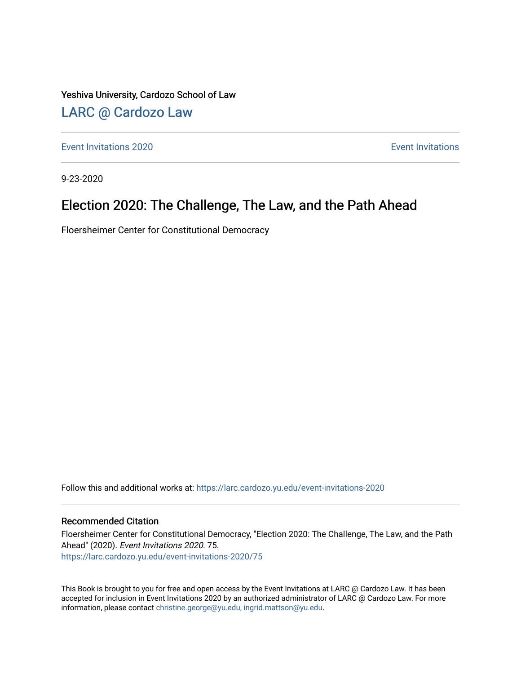Yeshiva University, Cardozo School of Law

## [LARC @ Cardozo Law](https://larc.cardozo.yu.edu/)

**[Event Invitations](https://larc.cardozo.yu.edu/event-invitations) 2020** Event Invitations **Exercísions** 

9-23-2020

## Election 2020: The Challenge, The Law, and the Path Ahead

Floersheimer Center for Constitutional Democracy

Follow this and additional works at: [https://larc.cardozo.yu.edu/event-invitations-2020](https://larc.cardozo.yu.edu/event-invitations-2020?utm_source=larc.cardozo.yu.edu%2Fevent-invitations-2020%2F75&utm_medium=PDF&utm_campaign=PDFCoverPages)

#### Recommended Citation

Floersheimer Center for Constitutional Democracy, "Election 2020: The Challenge, The Law, and the Path Ahead" (2020). Event Invitations 2020. 75. [https://larc.cardozo.yu.edu/event-invitations-2020/75](https://larc.cardozo.yu.edu/event-invitations-2020/75?utm_source=larc.cardozo.yu.edu%2Fevent-invitations-2020%2F75&utm_medium=PDF&utm_campaign=PDFCoverPages) 

This Book is brought to you for free and open access by the Event Invitations at LARC @ Cardozo Law. It has been accepted for inclusion in Event Invitations 2020 by an authorized administrator of LARC @ Cardozo Law. For more information, please contact [christine.george@yu.edu, ingrid.mattson@yu.edu](mailto:christine.george@yu.edu,%20ingrid.mattson@yu.edu).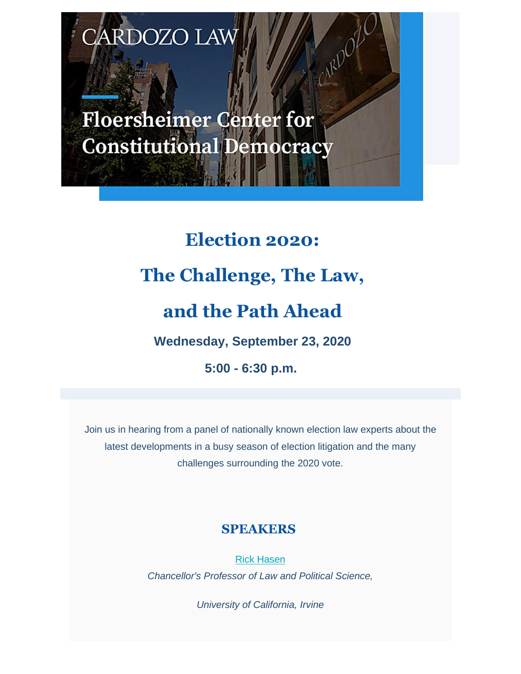RDOZO LAV

**Floersheimer Center for Constitutional Democracy** 

> **Election 2020: The Challenge, The Law, and the Path Ahead Wednesday, September 23, 2020 5:00 - 6:30 p.m.**

Join us in hearing from a panel of nationally known election law experts about the latest developments in a busy season of election litigation and the many challenges surrounding the 2020 vote.

## **SPEAKERS**

Rick Hasen *Chancellor's Professor of Law and Political Science,*

*University of California, Irvine*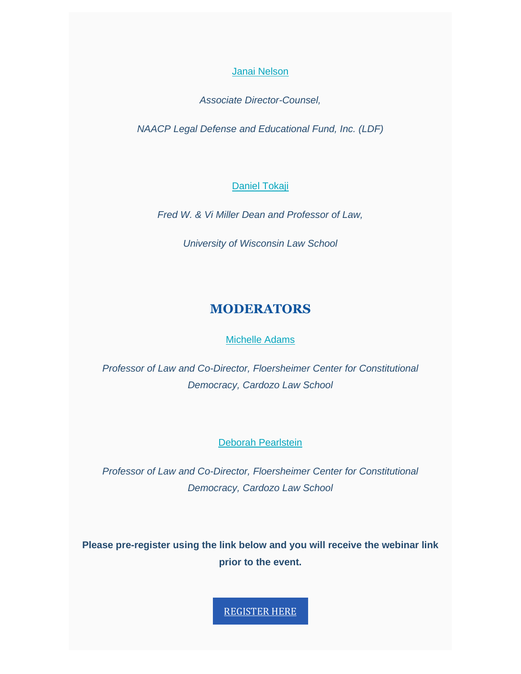Janai Nelson

*Associate Director-Counsel,*

*NAACP Legal Defense and Educational Fund, Inc. (LDF)*

#### Daniel Tokaji

*Fred W. & Vi Miller Dean and Professor of Law,*

*University of Wisconsin Law School*

### **MODERATORS**

#### Michelle Adams

*Professor of Law and Co-Director, Floersheimer Center for Constitutional Democracy, Cardozo Law School*

#### Deborah Pearlstein

*Professor of Law and Co-Director, Floersheimer Center for Constitutional Democracy, Cardozo Law School*

**Please pre-register using the link below and you will receive the webinar link prior to the event.**

REGISTER HERE